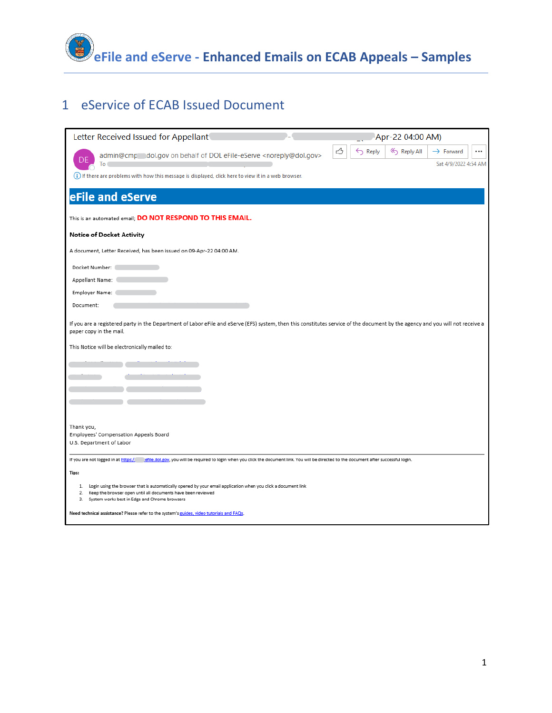

# eService of ECAB Issued Document

| Letter Received Issued for Appellant                                                                                                                                                                      | Apr-22 04:00 AM)                                                  |
|-----------------------------------------------------------------------------------------------------------------------------------------------------------------------------------------------------------|-------------------------------------------------------------------|
| admin@cmp_dol.gov on behalf of DOL eFile-eServe <noreply@dol.gov></noreply@dol.gov>                                                                                                                       | ᠿ<br>$\leftarrow$ Reply<br>Reply All<br>$\rightarrow$ Forward<br> |
| To                                                                                                                                                                                                        | Sat 4/9/2022 4:54 AM                                              |
| (i) If there are problems with how this message is displayed, click here to view it in a web browser.                                                                                                     |                                                                   |
| eFile and eServe                                                                                                                                                                                          |                                                                   |
| This is an automated email; DO NOT RESPOND TO THIS EMAIL.                                                                                                                                                 |                                                                   |
| <b>Notice of Docket Activity</b>                                                                                                                                                                          |                                                                   |
| A document, Letter Received, has been issued on 09-Apr-22 04:00 AM.                                                                                                                                       |                                                                   |
| Docket Number:                                                                                                                                                                                            |                                                                   |
| Appellant Name:                                                                                                                                                                                           |                                                                   |
| Employer Name:                                                                                                                                                                                            |                                                                   |
| Document:                                                                                                                                                                                                 |                                                                   |
| If you are a registered party in the Department of Labor eFile and eServe (EFS) system, then this constitutes service of the document by the agency and you will not receive a<br>paper copy in the mail. |                                                                   |
| This Notice will be electronically mailed to:                                                                                                                                                             |                                                                   |
|                                                                                                                                                                                                           |                                                                   |
|                                                                                                                                                                                                           |                                                                   |
|                                                                                                                                                                                                           |                                                                   |
|                                                                                                                                                                                                           |                                                                   |
|                                                                                                                                                                                                           |                                                                   |
| Thank you,<br>Employees' Compensation Appeals Board                                                                                                                                                       |                                                                   |
| U.S. Department of Labor                                                                                                                                                                                  |                                                                   |
| If you are not logged in at https:/<br>efile.dol.gov, you will be required to login when you click the document link. You will be directed to the document after successful login.                        |                                                                   |
| Tips:                                                                                                                                                                                                     |                                                                   |
| Login using the browser that is automatically opened by your email application when you click a document link<br>1.                                                                                       |                                                                   |
| Keep the browser open until all documents have been reviewed<br>2.<br>System works best in Edge and Chrome browsers<br>3.                                                                                 |                                                                   |
| Need technical assistance? Please refer to the system's guides, video tutorials and FAQs.                                                                                                                 |                                                                   |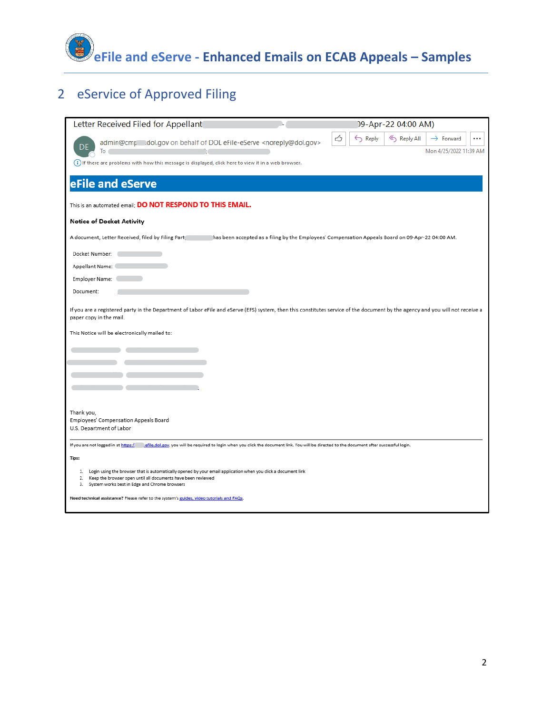

# eService of Approved Filing

| Letter Received Filed for Appellant                                                                                                                                                                       | 09-Apr-22 04:00 AM)                                                                                                                         |                                    |
|-----------------------------------------------------------------------------------------------------------------------------------------------------------------------------------------------------------|---------------------------------------------------------------------------------------------------------------------------------------------|------------------------------------|
| admin@cmp__dol.gov on behalf of DOL eFile-eServe <noreply@dol.gov><br/>To</noreply@dol.gov>                                                                                                               | ᠿ<br>$\leftarrow$ Reply<br>« Reply All<br>$\rightarrow$ Forward                                                                             | $\cdots$<br>Mon 4/25/2022 11:39 AM |
| (i) If there are problems with how this message is displayed, click here to view it in a web browser.                                                                                                     |                                                                                                                                             |                                    |
| eFile and eServe                                                                                                                                                                                          |                                                                                                                                             |                                    |
| This is an automated email; DO NOT RESPOND TO THIS EMAIL.                                                                                                                                                 |                                                                                                                                             |                                    |
| <b>Notice of Docket Activity</b>                                                                                                                                                                          |                                                                                                                                             |                                    |
| A document, Letter Received, filed by Filing Part                                                                                                                                                         | has been accepted as a filing by the Employees' Compensation Appeals Board on 09-Apr-22 04:00 AM.                                           |                                    |
| Docket Number:                                                                                                                                                                                            |                                                                                                                                             |                                    |
| Appellant Name:                                                                                                                                                                                           |                                                                                                                                             |                                    |
| Employer Name:                                                                                                                                                                                            |                                                                                                                                             |                                    |
| Document:                                                                                                                                                                                                 |                                                                                                                                             |                                    |
| If you are a registered party in the Department of Labor eFile and eServe (EFS) system, then this constitutes service of the document by the agency and you will not receive a<br>paper copy in the mail. |                                                                                                                                             |                                    |
| This Notice will be electronically mailed to:                                                                                                                                                             |                                                                                                                                             |                                    |
|                                                                                                                                                                                                           |                                                                                                                                             |                                    |
|                                                                                                                                                                                                           |                                                                                                                                             |                                    |
|                                                                                                                                                                                                           |                                                                                                                                             |                                    |
|                                                                                                                                                                                                           |                                                                                                                                             |                                    |
|                                                                                                                                                                                                           |                                                                                                                                             |                                    |
| Thank you,<br>Employees' Compensation Appeals Board                                                                                                                                                       |                                                                                                                                             |                                    |
| U.S. Department of Labor                                                                                                                                                                                  |                                                                                                                                             |                                    |
| If you are not logged in at https:/                                                                                                                                                                       | efile.dol.gov, you will be required to login when you click the document link. You will be directed to the document after successful login. |                                    |
| Tips:                                                                                                                                                                                                     |                                                                                                                                             |                                    |
| 1. Login using the browser that is automatically opened by your email application when you click a document link<br>Keep the browser open until all documents have been reviewed<br>2.                    |                                                                                                                                             |                                    |
| З.<br>System works best in Edge and Chrome browsers                                                                                                                                                       |                                                                                                                                             |                                    |
| Need technical assistance? Please refer to the system's guides, video tutorials and FAQs.                                                                                                                 |                                                                                                                                             |                                    |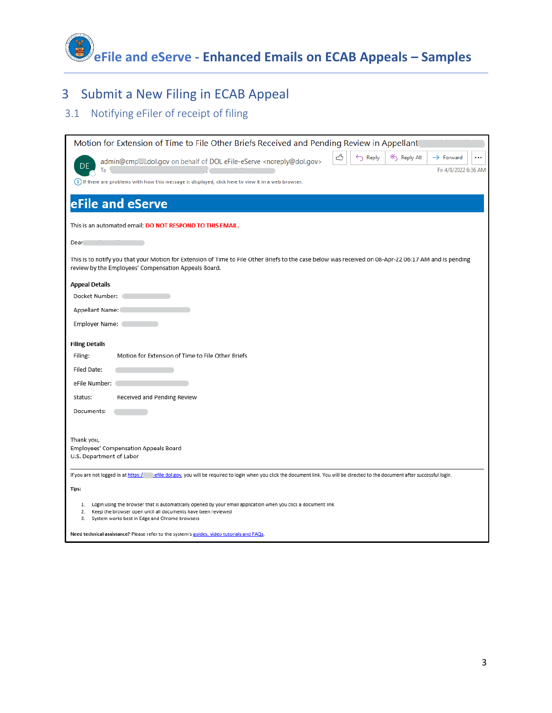**eFile and eServe - Enhanced Emails on ECAB Appeals – Samples**

# 3 Submit a New Filing in ECAB Appeal

## 3.1 Notifying eFiler of receipt of filing

| Motion for Extension of Time to File Other Briefs Received and Pending Review in Appellant                                                                                                                                                    |
|-----------------------------------------------------------------------------------------------------------------------------------------------------------------------------------------------------------------------------------------------|
| ᠿ<br>$\leftarrow$ Reply<br>≪) Reply All<br>$\rightarrow$ Forward<br>admin@cmpdol.gov on behalf of DOL eFile-eServe <noreply@dol.gov><br/>Fri 4/8/2022 6:36 AM<br/>To</noreply@dol.gov>                                                        |
| (i) If there are problems with how this message is displayed, click here to view it in a web browser.                                                                                                                                         |
| eFile and eServe                                                                                                                                                                                                                              |
| This is an automated email; DO NOT RESPOND TO THIS EMAIL.                                                                                                                                                                                     |
| Dear                                                                                                                                                                                                                                          |
| This is to notify you that your Motion for Extension of Time to File Other Briefs to the case below was received on 08-Apr-22 06:17 AM and is pending<br>review by the Employees' Compensation Appeals Board.                                 |
| <b>Appeal Details</b>                                                                                                                                                                                                                         |
| Docket Number:                                                                                                                                                                                                                                |
| Appellant Name:                                                                                                                                                                                                                               |
| Employer Name:                                                                                                                                                                                                                                |
| <b>Filing Details</b>                                                                                                                                                                                                                         |
| Motion for Extension of Time to File Other Briefs<br>Filing:                                                                                                                                                                                  |
| Filed Date:                                                                                                                                                                                                                                   |
| eFile Number:                                                                                                                                                                                                                                 |
| Received and Pending Review<br>Status:                                                                                                                                                                                                        |
| Documents:                                                                                                                                                                                                                                    |
|                                                                                                                                                                                                                                               |
| Thank you,<br>Employees' Compensation Appeals Board<br>U.S. Department of Labor                                                                                                                                                               |
| If you are not logged in at https:/<br>efile.dol.gov, you will be required to login when you click the document link. You will be directed to the document after successful login.                                                            |
| Tips:                                                                                                                                                                                                                                         |
| 1. Login using the browser that is automatically opened by your email application when you click a document link<br>Keep the browser open until all documents have been reviewed<br>2.<br>System works best in Edge and Chrome browsers<br>3. |
| Need technical assistance? Please refer to the system's guides, video tutorials and FAQs.                                                                                                                                                     |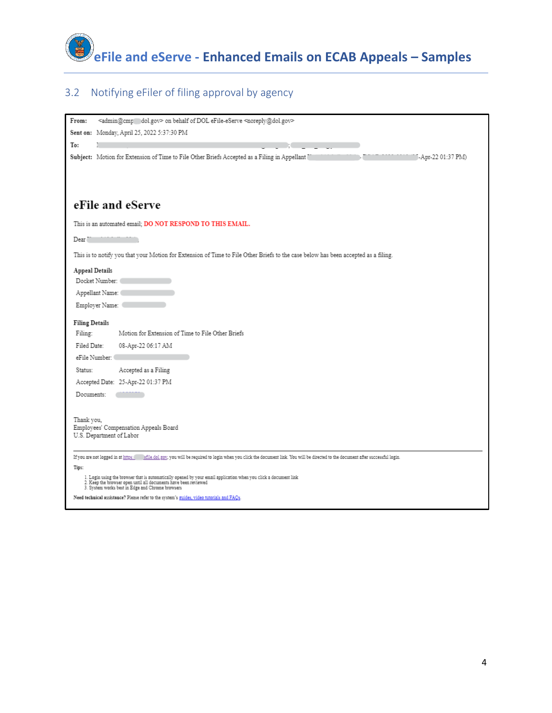

## 3.2 Notifying eFiler of filing approval by agency

| <admin@cmp dol.gov=""> on behalf of DOL eFile-eServe <noreply@dol.gov><br/>From:</noreply@dol.gov></admin@cmp>                                                                      |
|-------------------------------------------------------------------------------------------------------------------------------------------------------------------------------------|
| Sent on: Monday, April 25, 2022 5:37:30 PM                                                                                                                                          |
| To:                                                                                                                                                                                 |
| Subject: Motion for Extension of Time to File Other Briefs Accepted as a Filing in Appellant [<br>J-Apr-22 01:37 PM)                                                                |
|                                                                                                                                                                                     |
|                                                                                                                                                                                     |
|                                                                                                                                                                                     |
| eFile and eServe                                                                                                                                                                    |
| This is an automated email; DO NOT RESPOND TO THIS EMAIL.                                                                                                                           |
| Dear"                                                                                                                                                                               |
| This is to notify you that your Motion for Extension of Time to File Other Briefs to the case below has been accepted as a filing.                                                  |
| Appeal Details                                                                                                                                                                      |
| Docket Number:                                                                                                                                                                      |
| Appellant Name: (                                                                                                                                                                   |
| Employer Name:                                                                                                                                                                      |
| <b>Filing Details</b>                                                                                                                                                               |
| Motion for Extension of Time to File Other Briefs<br>Filing:                                                                                                                        |
| Filed Date:<br>08-Apr-22 06:17 AM                                                                                                                                                   |
| eFile Number: (                                                                                                                                                                     |
| Accepted as a Filing<br>Status:                                                                                                                                                     |
| Accepted Date: 25-Apr-22 01:37 PM                                                                                                                                                   |
| Documents:                                                                                                                                                                          |
|                                                                                                                                                                                     |
| Thank you,                                                                                                                                                                          |
| Employees' Compensation Appeals Board<br>U.S. Department of Labor                                                                                                                   |
|                                                                                                                                                                                     |
| If you are not logged in at https: sfile dol.gov, you will be required to login when you click the document link. You will be directed to the document after successful login.      |
| Tips:                                                                                                                                                                               |
| 1. Login using the browser that is automatically opened by your email application when you click a document link<br>2. Keep the browser open until all documents have been reviewed |
| 3. System works best in Edge and Chrome browsers<br>Need technical assistance? Please refer to the system's guides, video tutorials and FAQs.                                       |
|                                                                                                                                                                                     |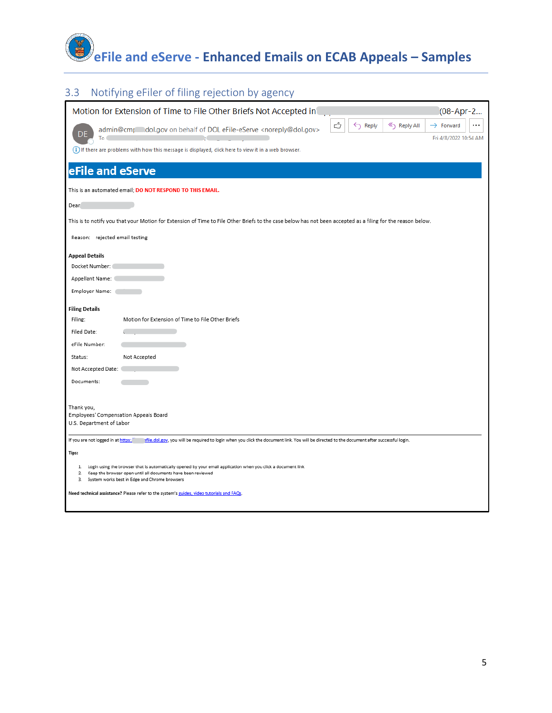# **eFile and eServe - Enhanced Emails on ECAB Appeals – Samples**

## 3.3 Notifying eFiler of filing rejection by agency

|                                                                                 | Motion for Extension of Time to File Other Briefs Not Accepted in                                                                                                                                                              | (08-Apr-2                                      |
|---------------------------------------------------------------------------------|--------------------------------------------------------------------------------------------------------------------------------------------------------------------------------------------------------------------------------|------------------------------------------------|
| To                                                                              | ᠿ<br>$\leftarrow$ Reply<br>≪) Reply All<br>admin@cmp_dol.gov on behalf of DOL eFile-eServe <noreply@dol.gov></noreply@dol.gov>                                                                                                 | $\rightarrow$ Forward<br>Fri 4/8/2022 10:54 AM |
|                                                                                 | (i) If there are problems with how this message is displayed, click here to view it in a web browser.                                                                                                                          |                                                |
| eFile and eServe                                                                |                                                                                                                                                                                                                                |                                                |
|                                                                                 | This is an automated email; DO NOT RESPOND TO THIS EMAIL.                                                                                                                                                                      |                                                |
| Dear                                                                            |                                                                                                                                                                                                                                |                                                |
|                                                                                 | This is to notify you that your Motion for Extension of Time to File Other Briefs to the case below has not been accepted as a filing for the reason below.                                                                    |                                                |
| Reason: rejected email testing                                                  |                                                                                                                                                                                                                                |                                                |
| <b>Appeal Details</b>                                                           |                                                                                                                                                                                                                                |                                                |
| Docket Number:                                                                  |                                                                                                                                                                                                                                |                                                |
| Appellant Name: (                                                               |                                                                                                                                                                                                                                |                                                |
| Employer Name:                                                                  |                                                                                                                                                                                                                                |                                                |
| <b>Filing Details</b>                                                           |                                                                                                                                                                                                                                |                                                |
| Filing:                                                                         | Motion for Extension of Time to File Other Briefs                                                                                                                                                                              |                                                |
| Filed Date:                                                                     |                                                                                                                                                                                                                                |                                                |
| eFile Number:                                                                   |                                                                                                                                                                                                                                |                                                |
| Status:                                                                         | Not Accepted                                                                                                                                                                                                                   |                                                |
| Not Accepted Date:                                                              |                                                                                                                                                                                                                                |                                                |
| Documents:                                                                      |                                                                                                                                                                                                                                |                                                |
|                                                                                 |                                                                                                                                                                                                                                |                                                |
| Thank you,<br>Employees' Compensation Appeals Board<br>U.S. Department of Labor |                                                                                                                                                                                                                                |                                                |
| If you are not logged in at https://                                            | sfile.dol.gov, you will be required to login when you click the document link. You will be directed to the document after successful login.                                                                                    |                                                |
| Tips:                                                                           |                                                                                                                                                                                                                                |                                                |
| 1.<br>2.<br>3.                                                                  | Login using the browser that is automatically opened by your email application when you click a document link<br>Keep the browser open until all documents have been reviewed<br>System works best in Edge and Chrome browsers |                                                |
|                                                                                 | Need technical assistance? Please refer to the system's guides, video tutorials and FAQs.                                                                                                                                      |                                                |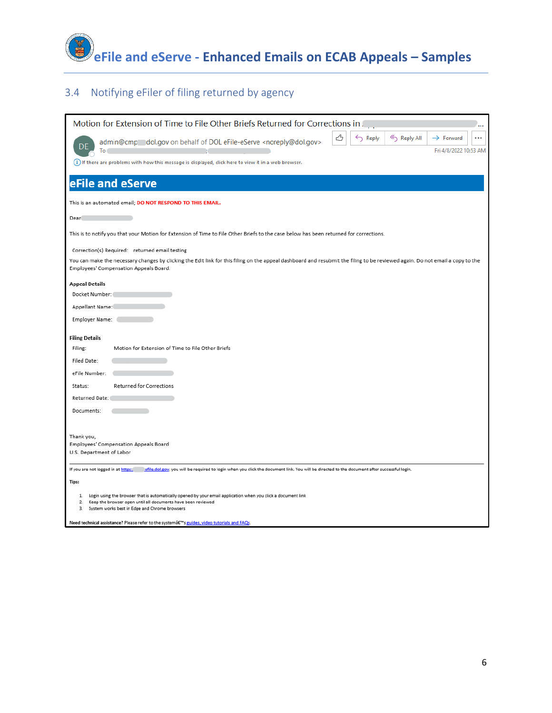

#### 3.4 Notifying eFiler of filing returned by agency

| Motion for Extension of Time to File Other Briefs Returned for Corrections in Fig.                                                                                                                                                               |
|--------------------------------------------------------------------------------------------------------------------------------------------------------------------------------------------------------------------------------------------------|
| ᠿ<br>$\leftarrow$ Reply<br>Reply All<br>$\rightarrow$ Forward<br>admin@cmp dol.gov on behalf of DOL eFile-eServe <noreply@dol.gov><br/>Fri 4/8/2022 10:53 AM<br/>To</noreply@dol.gov>                                                            |
| (i) If there are problems with how this message is displayed, click here to view it in a web browser.                                                                                                                                            |
| eFile and eServe                                                                                                                                                                                                                                 |
| This is an automated email; DO NOT RESPOND TO THIS EMAIL.                                                                                                                                                                                        |
| <b>Dear</b>                                                                                                                                                                                                                                      |
| This is to notify you that your Motion for Extension of Time to File Other Briefs to the case below has been returned for corrections.                                                                                                           |
| Correction(s) Required: returned email testing                                                                                                                                                                                                   |
| You can make the necessary changes by clicking the Edit link for this filing on the appeal dashboard and resubmit the filing to be reviewed again. Do not email a copy to the<br>Employees' Compensation Appeals Board.                          |
| <b>Appeal Details</b>                                                                                                                                                                                                                            |
| Docket Number:                                                                                                                                                                                                                                   |
| Appellant Name:                                                                                                                                                                                                                                  |
| Employer Name:                                                                                                                                                                                                                                   |
| <b>Filing Details</b>                                                                                                                                                                                                                            |
| Motion for Extension of Time to File Other Briefs<br>Filing:                                                                                                                                                                                     |
| Filed Date:                                                                                                                                                                                                                                      |
| eFile Number:                                                                                                                                                                                                                                    |
| <b>Returned for Corrections</b><br>Status:                                                                                                                                                                                                       |
| Returned Date:                                                                                                                                                                                                                                   |
| Documents:                                                                                                                                                                                                                                       |
|                                                                                                                                                                                                                                                  |
| Thank you,<br>Employees' Compensation Appeals Board                                                                                                                                                                                              |
| U.S. Department of Labor                                                                                                                                                                                                                         |
| If you are not logged in at https:<br>efile.dol.gov, you will be required to login when you click the document link. You will be directed to the document after successful login.                                                                |
| Tips:                                                                                                                                                                                                                                            |
|                                                                                                                                                                                                                                                  |
| Login using the browser that is automatically opened by your email application when you click a document link<br>1.<br>Keep the browser open until all documents have been reviewed<br>2.<br>System works best in Edge and Chrome browsers<br>з. |

Need technical assistance? Please refer to the system's guides, video tutorials and FAQs.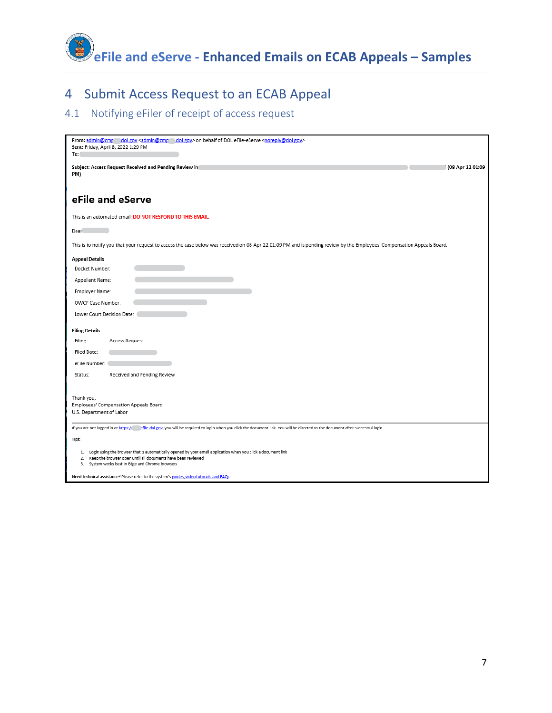

## 4 Submit Access Request to an ECAB Appeal

#### 4.1 Notifying eFiler of receipt of access request

| From: admin@cmr dol.gov <admin@cmr dol.gov=""> on behalf of DOL eFile-eServe <noreply@dol.gov><br/>Sent: Friday, April 8, 2022 1:29 PM<br/>To:</noreply@dol.gov></admin@cmr>                                                                  |  |
|-----------------------------------------------------------------------------------------------------------------------------------------------------------------------------------------------------------------------------------------------|--|
| Subject: Access Request Received and Pending Review in<br>(08-Apr-22 01:09<br>PM)                                                                                                                                                             |  |
| eFile and eServe                                                                                                                                                                                                                              |  |
| This is an automated email; DO NOT RESPOND TO THIS EMAIL.                                                                                                                                                                                     |  |
| Dear                                                                                                                                                                                                                                          |  |
| This is to notify you that your request to access the case below was received on 08-Apr-22 01:09 PM and is pending review by the Employees' Compensation Appeals Board.                                                                       |  |
| <b>Appeal Details</b><br>Docket Number:<br>Appellant Name:                                                                                                                                                                                    |  |
| Employer Name:                                                                                                                                                                                                                                |  |
| OWCP Case Number:                                                                                                                                                                                                                             |  |
| Lower Court Decision Date:                                                                                                                                                                                                                    |  |
| <b>Filing Details</b>                                                                                                                                                                                                                         |  |
| Filing:<br>Access Request                                                                                                                                                                                                                     |  |
| Filed Date:                                                                                                                                                                                                                                   |  |
| eFile Number:                                                                                                                                                                                                                                 |  |
| Status:<br>Received and Pending Review                                                                                                                                                                                                        |  |
| Thank you,<br>Employees' Compensation Appeals Board<br>U.S. Department of Labor                                                                                                                                                               |  |
| If you are not logged in at https:// afile.dol.gov, you will be required to login when you click the document link. You will be directed to the document after successful login.                                                              |  |
| Tips:                                                                                                                                                                                                                                         |  |
| 1. Login using the browser that is automatically opened by your email application when you click a document link<br>Keep the browser open until all documents have been reviewed<br>2.<br>System works best in Edge and Chrome browsers<br>3. |  |
| Need technical assistance? Please refer to the system's guides, video tutorials and FAQs.                                                                                                                                                     |  |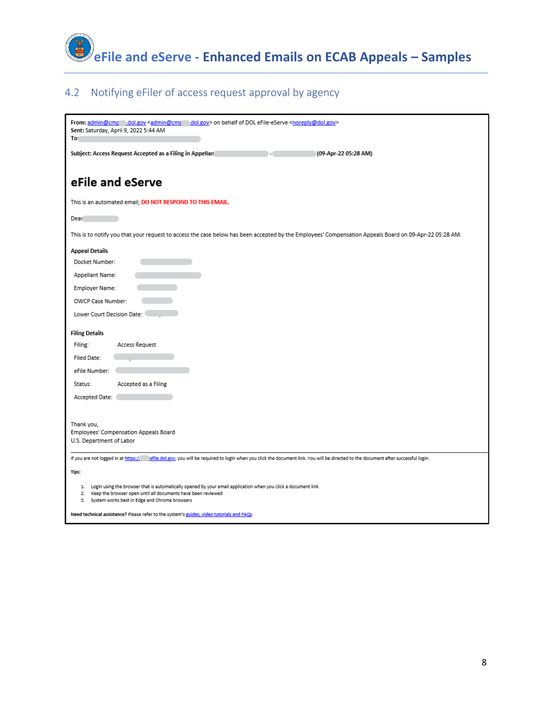

#### 4.2 Notifying eFiler of access request approval by agency

| From: admin@cmp dol.gov <admin@cmp<br>dol.gov&gt; on behalf of DOL eFile-eServe <noreply@dol.gov><br/>Sent: Saturday, April 9, 2022 5:44 AM<br/>To</noreply@dol.gov></admin@cmp<br>                                                     |
|-----------------------------------------------------------------------------------------------------------------------------------------------------------------------------------------------------------------------------------------|
| Subject: Access Request Accepted as a Filing in Appellan<br>(09-Apr-22 05:28 AM)                                                                                                                                                        |
| eFile and eServe                                                                                                                                                                                                                        |
| This is an automated email; DO NOT RESPOND TO THIS EMAIL.                                                                                                                                                                               |
| Dear                                                                                                                                                                                                                                    |
| This is to notify you that your request to access the case below has been accepted by the Employees' Compensation Appeals Board on 09-Apr-22 05:28 AM.                                                                                  |
| <b>Appeal Details</b>                                                                                                                                                                                                                   |
| Docket Number:                                                                                                                                                                                                                          |
| Appellant Name:                                                                                                                                                                                                                         |
| Employer Name:                                                                                                                                                                                                                          |
| OWCP Case Number:                                                                                                                                                                                                                       |
| Lower Court Decision Date:                                                                                                                                                                                                              |
| <b>Filing Details</b>                                                                                                                                                                                                                   |
| Filing:<br>Access Request                                                                                                                                                                                                               |
| <b>Filed Date:</b>                                                                                                                                                                                                                      |
| eFile Number:                                                                                                                                                                                                                           |
| Accepted as a Filing<br>Status:                                                                                                                                                                                                         |
| Accepted Date:                                                                                                                                                                                                                          |
|                                                                                                                                                                                                                                         |
| Thank you,                                                                                                                                                                                                                              |
| Employees' Compensation Appeals Board                                                                                                                                                                                                   |
| U.S. Department of Labor                                                                                                                                                                                                                |
| If you are not logged in at https:/<br>efile.dol.gov, you will be required to login when you click the document link. You will be directed to the document after successful login.                                                      |
| Tips:                                                                                                                                                                                                                                   |
| 1. Login using the browser that is automatically opened by your email application when you click a document link<br>2. Keep the browser open until all documents have been reviewed<br>3. System works best in Edge and Chrome browsers |
| Need technical assistance? Please refer to the system's guides, video tutorials and FAQs.                                                                                                                                               |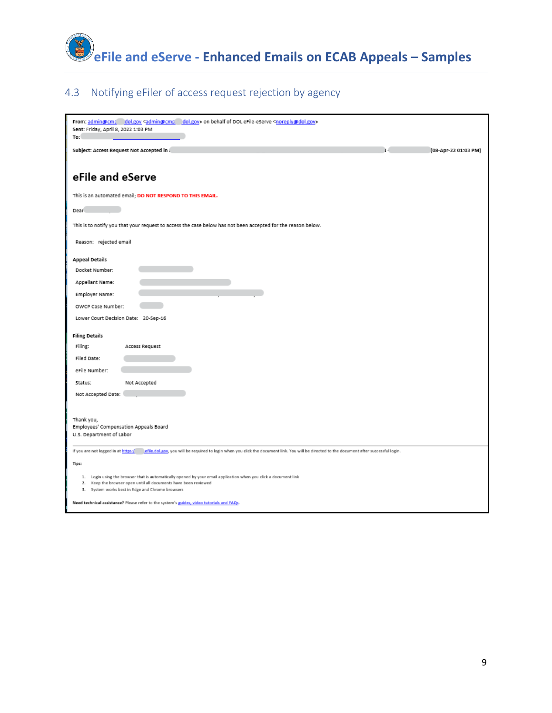

#### 4.3 Notifying eFiler of access request rejection by agency

| From: admin@cmp dol.gov <admin@cmp dol.gov=""> on behalf of DOL eFile-eServe <noreply@dol.gov><br/>Sent: Friday, April 8, 2022 1:03 PM<br/>To:</noreply@dol.gov></admin@cmp>                                                            |
|-----------------------------------------------------------------------------------------------------------------------------------------------------------------------------------------------------------------------------------------|
| Subject: Access Request Not Accepted in J<br>(08-Apr-22 01:03 PM)                                                                                                                                                                       |
|                                                                                                                                                                                                                                         |
| eFile and eServe                                                                                                                                                                                                                        |
| This is an automated email; DO NOT RESPOND TO THIS EMAIL.                                                                                                                                                                               |
| Dear                                                                                                                                                                                                                                    |
| This is to notify you that your request to access the case below has not been accepted for the reason below.                                                                                                                            |
| Reason: rejected email                                                                                                                                                                                                                  |
| <b>Appeal Details</b>                                                                                                                                                                                                                   |
| Docket Number:                                                                                                                                                                                                                          |
| Appellant Name:                                                                                                                                                                                                                         |
| Employer Name:                                                                                                                                                                                                                          |
| OWCP Case Number:                                                                                                                                                                                                                       |
| Lower Court Decision Date: 20-Sep-16                                                                                                                                                                                                    |
| <b>Filing Details</b>                                                                                                                                                                                                                   |
| Filing:<br>Access Request                                                                                                                                                                                                               |
| Filed Date:                                                                                                                                                                                                                             |
| eFile Number:                                                                                                                                                                                                                           |
| Not Accepted<br>Status:                                                                                                                                                                                                                 |
| Not Accepted Date:                                                                                                                                                                                                                      |
|                                                                                                                                                                                                                                         |
| Thank you,<br>Employees' Compensation Appeals Board<br>U.S. Department of Labor                                                                                                                                                         |
| If you are not logged in at https:/<br>effle.dol.gov, you will be required to login when you click the document link. You will be directed to the document after successful login.                                                      |
| Tips:                                                                                                                                                                                                                                   |
| 1. Login using the browser that is automatically opened by your email application when you click a document link<br>2. Keep the browser open until all documents have been reviewed<br>3. System works best in Edge and Chrome browsers |
| Need technical assistance? Please refer to the system's guides, video tutorials and FAQs.                                                                                                                                               |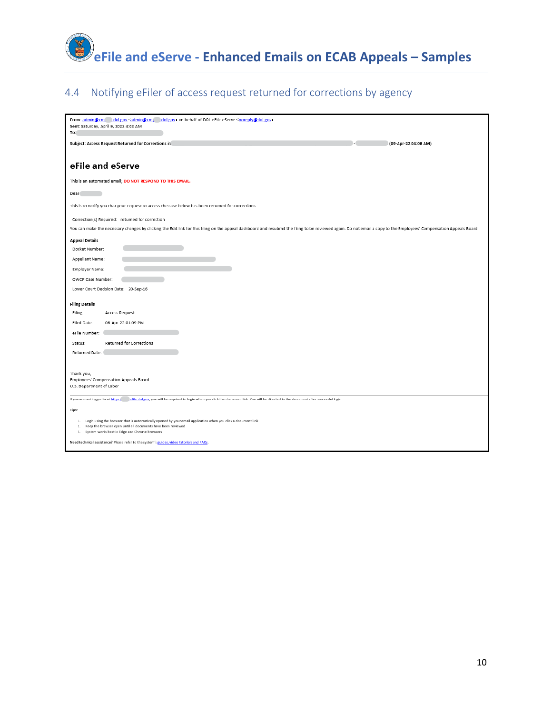

## 4.4 Notifying eFiler of access request returned for corrections by agency

| From: admin@cm, dol.gov <admin@cm, dol.gov=""> on behalf of DOL eFile-eServe <noreply@dol.gov><br/>Sent: Saturday, April 9, 2022 4:08 AM</noreply@dol.gov></admin@cm,>                                               |
|----------------------------------------------------------------------------------------------------------------------------------------------------------------------------------------------------------------------|
| To:                                                                                                                                                                                                                  |
| Subject: Access Request Returned for Corrections in<br>(09-Apr-22 04:08 AM)                                                                                                                                          |
|                                                                                                                                                                                                                      |
| eFile and eServe                                                                                                                                                                                                     |
| This is an automated email; DO NOT RESPOND TO THIS EMAIL.                                                                                                                                                            |
| Dear                                                                                                                                                                                                                 |
| This is to notify you that your request to access the case below has been returned for corrections.                                                                                                                  |
| Correction(s) Required: returned for correction                                                                                                                                                                      |
| You can make the necessary changes by clicking the Edit link for this filing on the appeal dashboard and resubmit the filing to be reviewed again. Do not email a copy to the Employees' Compensation Appeals Board. |
| <b>Appeal Details</b>                                                                                                                                                                                                |
| Docket Number:                                                                                                                                                                                                       |
| Appellant Name:                                                                                                                                                                                                      |
| Employer Name:                                                                                                                                                                                                       |
| OWCP Case Number:                                                                                                                                                                                                    |
| Lower Court Decision Date: 20-Sep-16                                                                                                                                                                                 |
| <b>Filing Details</b>                                                                                                                                                                                                |
| Filing:<br>Access Request                                                                                                                                                                                            |
| Filed Date:<br>08-Apr-22 01:09 PM                                                                                                                                                                                    |
| eFile Number:                                                                                                                                                                                                        |
| Returned for Corrections<br>Status:                                                                                                                                                                                  |
| Returned Date:                                                                                                                                                                                                       |
|                                                                                                                                                                                                                      |
| Thank you,                                                                                                                                                                                                           |
| Employees' Compensation Appeals Board<br>U.S. Department of Labor                                                                                                                                                    |
| .effle.dol.gov, you will be required to login when you click the document link. You will be directed to the document after successful login.<br>If you are not logged in at https:/                                  |
| Tips:                                                                                                                                                                                                                |
|                                                                                                                                                                                                                      |
| 1. Login using the browser that is automatically opened by your email application when you click a document link<br>2. Keep the browser open until all documents have been reviewed                                  |
| 3. System works best in Edge and Chrome browsers                                                                                                                                                                     |
| Need technical assistance? Please refer to the system's guides, video tutorials and FAQs.                                                                                                                            |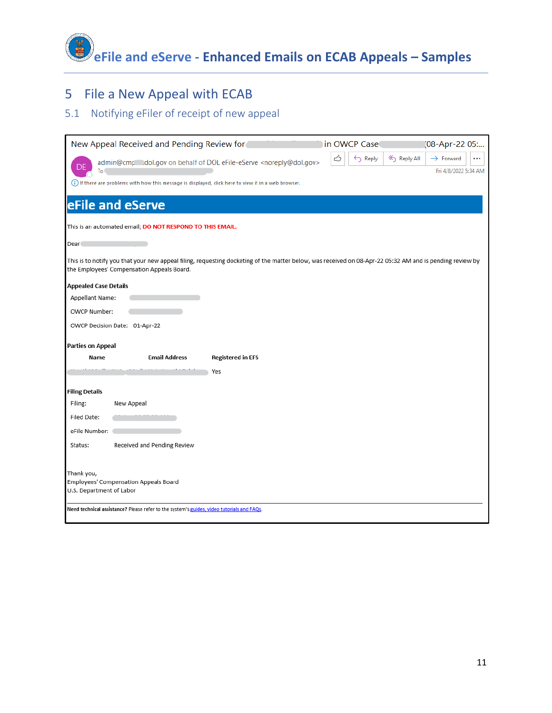**eFile and eServe - Enhanced Emails on ECAB Appeals – Samples**

# 5 File a New Appeal with ECAB

## 5.1 Notifying eFiler of receipt of new appeal

| New Appeal Received and Pending Review for                                                                                                                                                             | in OWCP Case<br>[08-Apr-22 05:                                                            |
|--------------------------------------------------------------------------------------------------------------------------------------------------------------------------------------------------------|-------------------------------------------------------------------------------------------|
| admin@cmp .dol.gov on behalf of DOL eFile-eServe <noreply@dol.gov><br/>To</noreply@dol.gov>                                                                                                            | ᠿ<br>$\leftarrow$ Reply<br>Reply All<br>$\rightarrow$ Forward<br><br>Fri 4/8/2022 5:34 AM |
| (i) If there are problems with how this message is displayed, click here to view it in a web browser.                                                                                                  |                                                                                           |
| eFile and eServe                                                                                                                                                                                       |                                                                                           |
| This is an automated email; DO NOT RESPOND TO THIS EMAIL.                                                                                                                                              |                                                                                           |
| Dear                                                                                                                                                                                                   |                                                                                           |
| This is to notify you that your new appeal filing, requesting docketing of the matter below, was received on 08-Apr-22 05:32 AM and is pending review by<br>the Employees' Compensation Appeals Board. |                                                                                           |
| <b>Appealed Case Details</b>                                                                                                                                                                           |                                                                                           |
| Appellant Name:                                                                                                                                                                                        |                                                                                           |
| OWCP Number:                                                                                                                                                                                           |                                                                                           |
| OWCP Decision Date: 01-Apr-22                                                                                                                                                                          |                                                                                           |
| <b>Parties on Appeal</b>                                                                                                                                                                               |                                                                                           |
| <b>Email Address</b><br><b>Registered in EFS</b><br>Name                                                                                                                                               |                                                                                           |
| Yes                                                                                                                                                                                                    |                                                                                           |
| <b>Filing Details</b>                                                                                                                                                                                  |                                                                                           |
| Filing:<br>New Appeal                                                                                                                                                                                  |                                                                                           |
| Filed Date:                                                                                                                                                                                            |                                                                                           |
| eFile Number:                                                                                                                                                                                          |                                                                                           |
| Received and Pending Review<br>Status:                                                                                                                                                                 |                                                                                           |
| Thank you,<br>Employees' Compensation Appeals Board<br>U.S. Department of Labor                                                                                                                        |                                                                                           |
| Need technical assistance? Please refer to the system's guides, video tutorials and FAQs.                                                                                                              |                                                                                           |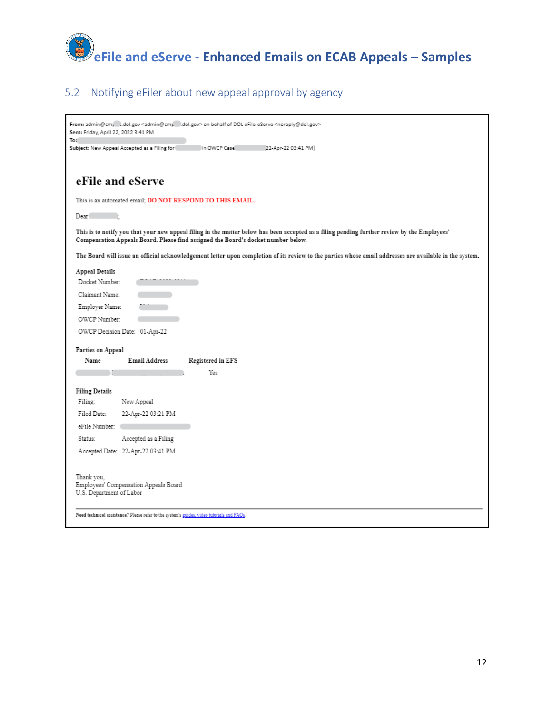

#### 5.2 Notifying eFiler about new appeal approval by agency

| From: admin@cm, i.dol.gov <admin@cm; i.dol.gov=""> on behalf of DOL eFile-eServe <noreply@dol.gov><br/>Sent: Friday, April 22, 2022 3:41 PM<br/>To:</noreply@dol.gov></admin@cm;>                                                 |
|-----------------------------------------------------------------------------------------------------------------------------------------------------------------------------------------------------------------------------------|
| Subject: New Appeal Accepted as a Filing for<br>in OWCP Case<br>22-Apr-22 03:41 PM)                                                                                                                                               |
| eFile and eServe                                                                                                                                                                                                                  |
| This is an automated email; DO NOT RESPOND TO THIS EMAIL.                                                                                                                                                                         |
| Dear .<br>- 11                                                                                                                                                                                                                    |
| This is to notify you that your new appeal filing in the matter below has been accepted as a filing pending further review by the Employees'<br>Compensation Appeals Board. Please find assigned the Board's docket number below. |
| The Board will issue an official acknowledgement letter upon completion of its review to the parties whose email addresses are available in the system.                                                                           |
| Appeal Details                                                                                                                                                                                                                    |
| Docket Number:                                                                                                                                                                                                                    |
| Claimant Name:                                                                                                                                                                                                                    |
| Employer Name:                                                                                                                                                                                                                    |
| OWCP Number:                                                                                                                                                                                                                      |
| OWCP Decision Date: 01-Apr-22                                                                                                                                                                                                     |
| Parties on Appeal                                                                                                                                                                                                                 |
| Email Address<br>Name<br>Registered in EFS                                                                                                                                                                                        |
| Yes                                                                                                                                                                                                                               |
| <b>Filing Details</b>                                                                                                                                                                                                             |
| Filing:<br>New Appeal                                                                                                                                                                                                             |
| Filed Date:<br>22-Apr-22 03:21 PM                                                                                                                                                                                                 |
| eFile Number:                                                                                                                                                                                                                     |
| Accepted as a Filing<br>Status:                                                                                                                                                                                                   |
| Accepted Date: 22-Apr-22 03:41 PM                                                                                                                                                                                                 |
| Thank you,<br>Employees' Compensation Appeals Board<br>U.S. Department of Labor                                                                                                                                                   |
| Need technical assistance? Please refer to the system's guides, video tutorials and FAQs.                                                                                                                                         |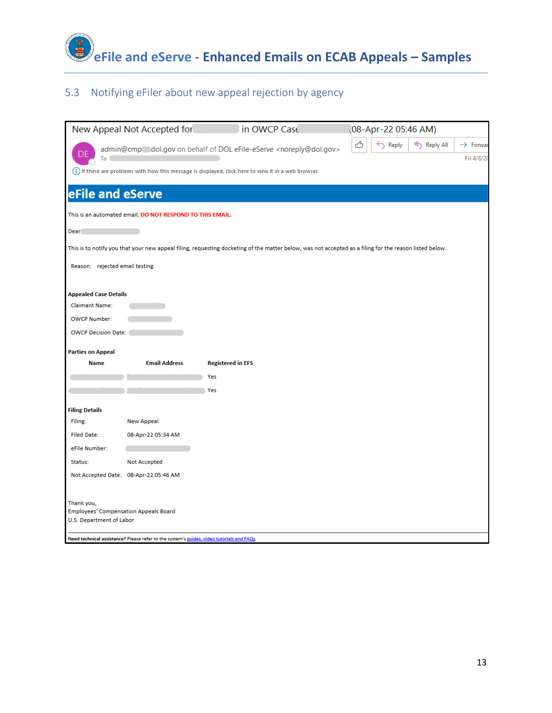

#### 5.3 Notifying eFiler about new appeal rejection by agency

|                                                                                                                                                        | New Appeal Not Accepted for                                                               | in OWCP Case                                                                                          | (08-Apr-22 05:46 AM)                              |  |
|--------------------------------------------------------------------------------------------------------------------------------------------------------|-------------------------------------------------------------------------------------------|-------------------------------------------------------------------------------------------------------|---------------------------------------------------|--|
|                                                                                                                                                        |                                                                                           | admin@cmp dol.gov on behalf of DOL eFile-eServe <noreply@dol.gov></noreply@dol.gov>                   | 端<br>← Reply<br>Reply All<br>$\rightarrow$ Forwar |  |
| To                                                                                                                                                     |                                                                                           | (i) If there are problems with how this message is displayed, click here to view it in a web browser. | Fri 4/8/20                                        |  |
|                                                                                                                                                        |                                                                                           |                                                                                                       |                                                   |  |
| eFile and eServe                                                                                                                                       |                                                                                           |                                                                                                       |                                                   |  |
| This is an automated email; DO NOT RESPOND TO THIS EMAIL.                                                                                              |                                                                                           |                                                                                                       |                                                   |  |
| Dear                                                                                                                                                   |                                                                                           |                                                                                                       |                                                   |  |
| This is to notify you that your new appeal filing, requesting docketing of the matter below, was not accepted as a filing for the reason listed below. |                                                                                           |                                                                                                       |                                                   |  |
| Reason: rejected email testing                                                                                                                         |                                                                                           |                                                                                                       |                                                   |  |
|                                                                                                                                                        |                                                                                           |                                                                                                       |                                                   |  |
| <b>Appealed Case Details</b>                                                                                                                           |                                                                                           |                                                                                                       |                                                   |  |
| Claimant Name:                                                                                                                                         |                                                                                           |                                                                                                       |                                                   |  |
| OWCP Number:                                                                                                                                           |                                                                                           |                                                                                                       |                                                   |  |
| OWCP Decision Date:                                                                                                                                    |                                                                                           |                                                                                                       |                                                   |  |
| <b>Parties on Appeal</b>                                                                                                                               |                                                                                           |                                                                                                       |                                                   |  |
| Name                                                                                                                                                   | <b>Email Address</b>                                                                      | <b>Registered in EFS</b>                                                                              |                                                   |  |
|                                                                                                                                                        |                                                                                           | Yes                                                                                                   |                                                   |  |
|                                                                                                                                                        |                                                                                           | Yes                                                                                                   |                                                   |  |
| <b>Filing Details</b>                                                                                                                                  |                                                                                           |                                                                                                       |                                                   |  |
| Filing:                                                                                                                                                | New Appeal                                                                                |                                                                                                       |                                                   |  |
| Filed Date:                                                                                                                                            | 08-Apr-22 05:34 AM                                                                        |                                                                                                       |                                                   |  |
| eFile Number:                                                                                                                                          |                                                                                           |                                                                                                       |                                                   |  |
| Status:                                                                                                                                                | Not Accepted                                                                              |                                                                                                       |                                                   |  |
|                                                                                                                                                        | Not Accepted Date: 08-Apr-22 05:46 AM                                                     |                                                                                                       |                                                   |  |
| Thank you,<br>Employees' Compensation Appeals Board<br>U.S. Department of Labor                                                                        | Need technical assistance? Please refer to the system's guides, video tutorials and FAQs. |                                                                                                       |                                                   |  |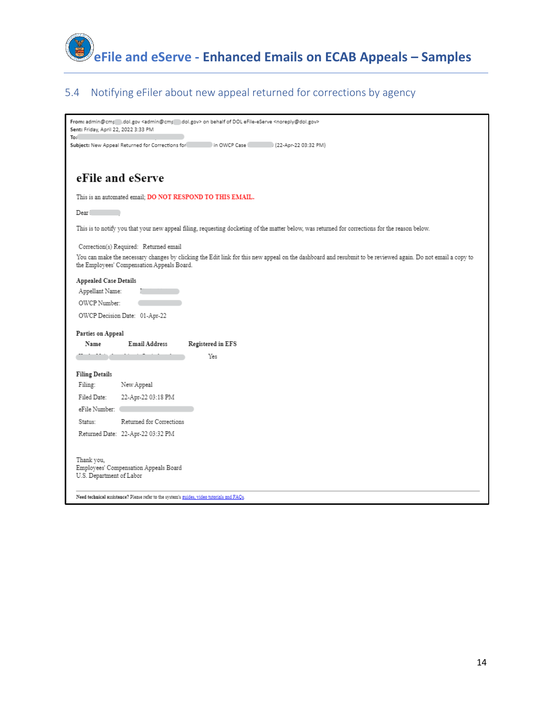

#### 5.4 Notifying eFiler about new appeal returned for corrections by agency

| From: admin@cm; (dol.gov <admin@cm; (dol.gov=""> on behalf of DOL eFile-eServe <noreply@dol.gov><br/>Sent: Friday, April 22, 2022 3:33 PM<br/>To:</noreply@dol.gov></admin@cm;>                           |  |  |  |
|-----------------------------------------------------------------------------------------------------------------------------------------------------------------------------------------------------------|--|--|--|
| Subject: New Appeal Returned for Corrections for http://www.in-OWCP Case<br>2 (22-Apr-22 03:32 PM)                                                                                                        |  |  |  |
|                                                                                                                                                                                                           |  |  |  |
| eFile and eServe                                                                                                                                                                                          |  |  |  |
| This is an automated email; <b>DO NOT RESPOND TO THIS EMAIL.</b>                                                                                                                                          |  |  |  |
| Dear                                                                                                                                                                                                      |  |  |  |
| This is to notify you that your new appeal filing, requesting docketing of the matter below, was returned for corrections for the reason below.                                                           |  |  |  |
| Correction(s) Required: Returned email                                                                                                                                                                    |  |  |  |
| You can make the necessary changes by clicking the Edit link for this new appeal on the dashboard and resubmit to be reviewed again. Do not email a copy to<br>the Employees' Compensation Appeals Board. |  |  |  |
| Appealed Case Details                                                                                                                                                                                     |  |  |  |
| Appellant Name:                                                                                                                                                                                           |  |  |  |
| OWCP Number:                                                                                                                                                                                              |  |  |  |
| OWCP Decision Date: 01-Apr-22                                                                                                                                                                             |  |  |  |
| Parties on Appeal                                                                                                                                                                                         |  |  |  |
| Email Address<br>Registered in EFS<br>Name                                                                                                                                                                |  |  |  |
| Yes                                                                                                                                                                                                       |  |  |  |
| <b>Filing Details</b>                                                                                                                                                                                     |  |  |  |
| Filing:<br>New Appeal                                                                                                                                                                                     |  |  |  |
| Filed Date:<br>22-Apr-22 03:18 PM                                                                                                                                                                         |  |  |  |
| eFile Number:                                                                                                                                                                                             |  |  |  |
| Returned for Corrections<br>Status:                                                                                                                                                                       |  |  |  |
| Returned Date: 22-Apr-22 03:32 PM                                                                                                                                                                         |  |  |  |
| Thank you,<br>Employees' Compensation Appeals Board<br>U.S. Department of Labor                                                                                                                           |  |  |  |
| Need technical assistance? Please refer to the system's guides, video tutorials and FAQs.                                                                                                                 |  |  |  |